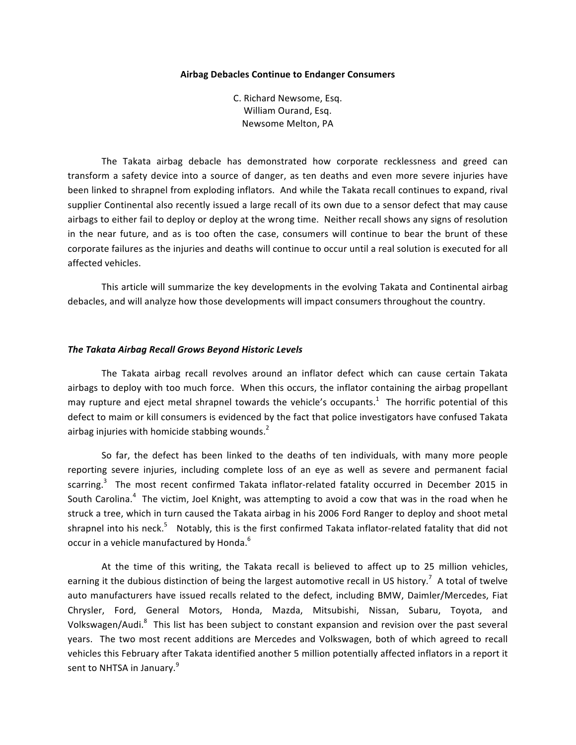#### **Airbag Debacles Continue to Endanger Consumers**

C. Richard Newsome, Esq. William Ourand, Esq. Newsome Melton, PA

The Takata airbag debacle has demonstrated how corporate recklessness and greed can transform a safety device into a source of danger, as ten deaths and even more severe injuries have been linked to shrapnel from exploding inflators. And while the Takata recall continues to expand, rival supplier Continental also recently issued a large recall of its own due to a sensor defect that may cause airbags to either fail to deploy or deploy at the wrong time. Neither recall shows any signs of resolution in the near future, and as is too often the case, consumers will continue to bear the brunt of these corporate failures as the injuries and deaths will continue to occur until a real solution is executed for all affected vehicles.

This article will summarize the key developments in the evolving Takata and Continental airbag debacles, and will analyze how those developments will impact consumers throughout the country.

#### *The Takata Airbag Recall Grows Beyond Historic Levels*

The Takata airbag recall revolves around an inflator defect which can cause certain Takata airbags to deploy with too much force. When this occurs, the inflator containing the airbag propellant may rupture and eject metal shrapnel towards the vehicle's occupants.<sup>1</sup> The horrific potential of this defect to maim or kill consumers is evidenced by the fact that police investigators have confused Takata airbag injuries with homicide stabbing wounds.<sup>2</sup>

So far, the defect has been linked to the deaths of ten individuals, with many more people reporting severe injuries, including complete loss of an eye as well as severe and permanent facial scarring.<sup>3</sup> The most recent confirmed Takata inflator-related fatality occurred in December 2015 in South Carolina.<sup>4</sup> The victim, Joel Knight, was attempting to avoid a cow that was in the road when he struck a tree, which in turn caused the Takata airbag in his 2006 Ford Ranger to deploy and shoot metal shrapnel into his neck.<sup>5</sup> Notably, this is the first confirmed Takata inflator-related fatality that did not occur in a vehicle manufactured by Honda.<sup>6</sup>

At the time of this writing, the Takata recall is believed to affect up to 25 million vehicles, earning it the dubious distinction of being the largest automotive recall in US history.<sup>7</sup> A total of twelve auto manufacturers have issued recalls related to the defect, including BMW, Daimler/Mercedes, Fiat Chrysler, Ford, General Motors, Honda, Mazda, Mitsubishi, Nissan, Subaru, Toyota, and Volkswagen/Audi.<sup>8</sup> This list has been subject to constant expansion and revision over the past several years. The two most recent additions are Mercedes and Volkswagen, both of which agreed to recall vehicles this February after Takata identified another 5 million potentially affected inflators in a report it sent to NHTSA in January.<sup>9</sup>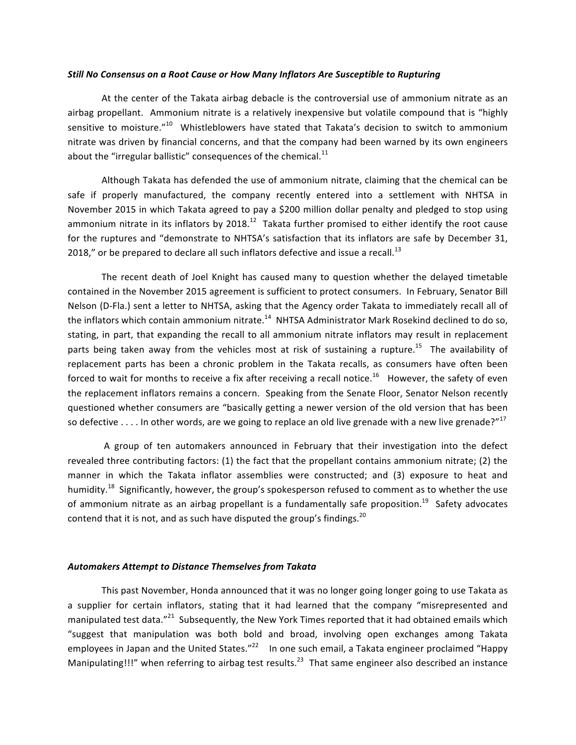#### *Still No Consensus on a Root Cause or How Many Inflators Are Susceptible to Rupturing*

At the center of the Takata airbag debacle is the controversial use of ammonium nitrate as an airbag propellant. Ammonium nitrate is a relatively inexpensive but volatile compound that is "highly sensitive to moisture."<sup>10</sup> Whistleblowers have stated that Takata's decision to switch to ammonium nitrate was driven by financial concerns, and that the company had been warned by its own engineers about the "irregular ballistic" consequences of the chemical. $^{11}$ 

Although Takata has defended the use of ammonium nitrate, claiming that the chemical can be safe if properly manufactured, the company recently entered into a settlement with NHTSA in November 2015 in which Takata agreed to pay a \$200 million dollar penalty and pledged to stop using ammonium nitrate in its inflators by 2018.<sup>12</sup> Takata further promised to either identify the root cause for the ruptures and "demonstrate to NHTSA's satisfaction that its inflators are safe by December 31, 2018," or be prepared to declare all such inflators defective and issue a recall.<sup>13</sup>

The recent death of Joel Knight has caused many to question whether the delayed timetable contained in the November 2015 agreement is sufficient to protect consumers. In February, Senator Bill Nelson (D-Fla.) sent a letter to NHTSA, asking that the Agency order Takata to immediately recall all of the inflators which contain ammonium nitrate.<sup>14</sup> NHTSA Administrator Mark Rosekind declined to do so, stating, in part, that expanding the recall to all ammonium nitrate inflators may result in replacement parts being taken away from the vehicles most at risk of sustaining a rupture.<sup>15</sup> The availability of replacement parts has been a chronic problem in the Takata recalls, as consumers have often been forced to wait for months to receive a fix after receiving a recall notice.<sup>16</sup> However, the safety of even the replacement inflators remains a concern. Speaking from the Senate Floor, Senator Nelson recently questioned whether consumers are "basically getting a newer version of the old version that has been so defective . . . . In other words, are we going to replace an old live grenade with a new live grenade?"<sup>17</sup>

A group of ten automakers announced in February that their investigation into the defect revealed three contributing factors:  $(1)$  the fact that the propellant contains ammonium nitrate;  $(2)$  the manner in which the Takata inflator assemblies were constructed; and (3) exposure to heat and humidity.<sup>18</sup> Significantly, however, the group's spokesperson refused to comment as to whether the use of ammonium nitrate as an airbag propellant is a fundamentally safe proposition.<sup>19</sup> Safety advocates contend that it is not, and as such have disputed the group's findings.  $20$ 

## Automakers Attempt to Distance Themselves from Takata

This past November, Honda announced that it was no longer going longer going to use Takata as a supplier for certain inflators, stating that it had learned that the company "misrepresented and manipulated test data."<sup>21</sup> Subsequently, the New York Times reported that it had obtained emails which "suggest that manipulation was both bold and broad, involving open exchanges among Takata emplovees in Japan and the United States."<sup>22</sup> In one such email, a Takata engineer proclaimed "Happy Manipulating!!!" when referring to airbag test results.<sup>23</sup> That same engineer also described an instance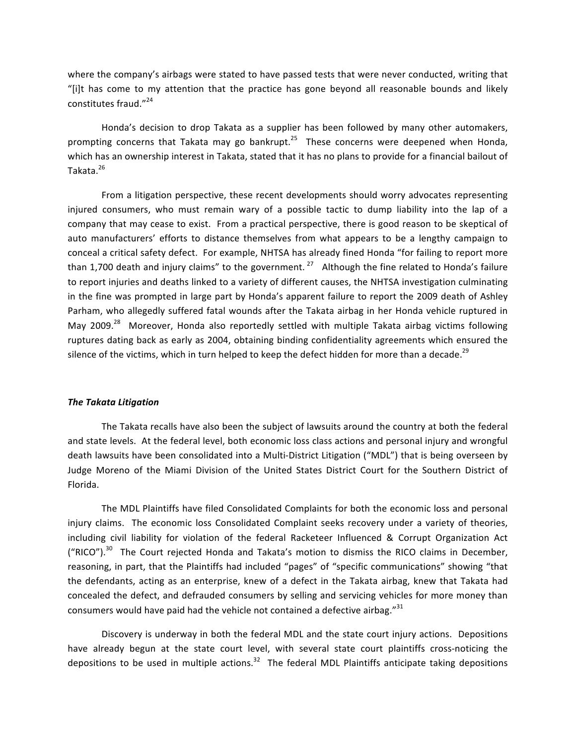where the company's airbags were stated to have passed tests that were never conducted, writing that "[i]t has come to my attention that the practice has gone beyond all reasonable bounds and likely constitutes fraud. $"^{24}$ 

Honda's decision to drop Takata as a supplier has been followed by many other automakers, prompting concerns that Takata may go bankrupt.<sup>25</sup> These concerns were deepened when Honda, which has an ownership interest in Takata, stated that it has no plans to provide for a financial bailout of Takata. 26

From a litigation perspective, these recent developments should worry advocates representing injured consumers, who must remain wary of a possible tactic to dump liability into the lap of a company that may cease to exist. From a practical perspective, there is good reason to be skeptical of auto manufacturers' efforts to distance themselves from what appears to be a lengthy campaign to conceal a critical safety defect. For example, NHTSA has already fined Honda "for failing to report more than 1,700 death and injury claims" to the government.  $^{27}$  Although the fine related to Honda's failure to report injuries and deaths linked to a variety of different causes, the NHTSA investigation culminating in the fine was prompted in large part by Honda's apparent failure to report the 2009 death of Ashley Parham, who allegedly suffered fatal wounds after the Takata airbag in her Honda vehicle ruptured in May 2009.<sup>28</sup> Moreover, Honda also reportedly settled with multiple Takata airbag victims following ruptures dating back as early as 2004, obtaining binding confidentiality agreements which ensured the silence of the victims, which in turn helped to keep the defect hidden for more than a decade.<sup>29</sup>

### **The Takata Litigation**

The Takata recalls have also been the subject of lawsuits around the country at both the federal and state levels. At the federal level, both economic loss class actions and personal injury and wrongful death lawsuits have been consolidated into a Multi-District Litigation ("MDL") that is being overseen by Judge Moreno of the Miami Division of the United States District Court for the Southern District of Florida. 

The MDL Plaintiffs have filed Consolidated Complaints for both the economic loss and personal injury claims. The economic loss Consolidated Complaint seeks recovery under a variety of theories, including civil liability for violation of the federal Racketeer Influenced & Corrupt Organization Act ("RICO").<sup>30</sup> The Court rejected Honda and Takata's motion to dismiss the RICO claims in December, reasoning, in part, that the Plaintiffs had included "pages" of "specific communications" showing "that the defendants, acting as an enterprise, knew of a defect in the Takata airbag, knew that Takata had concealed the defect, and defrauded consumers by selling and servicing vehicles for more money than consumers would have paid had the vehicle not contained a defective airbag."<sup>31</sup>

Discovery is underway in both the federal MDL and the state court injury actions. Depositions have already begun at the state court level, with several state court plaintiffs cross-noticing the depositions to be used in multiple actions.<sup>32</sup> The federal MDL Plaintiffs anticipate taking depositions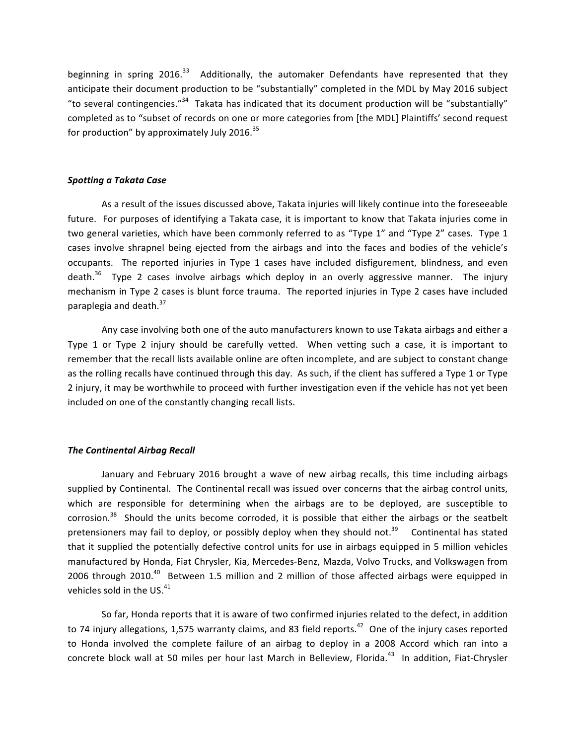beginning in spring 2016.<sup>33</sup> Additionally, the automaker Defendants have represented that they anticipate their document production to be "substantially" completed in the MDL by May 2016 subject "to several contingencies."<sup>34</sup> Takata has indicated that its document production will be "substantially" completed as to "subset of records on one or more categories from [the MDL] Plaintiffs' second request for production" by approximately July 2016. $35$ 

## *Spotting a Takata Case*

As a result of the issues discussed above, Takata injuries will likely continue into the foreseeable future. For purposes of identifying a Takata case, it is important to know that Takata injuries come in two general varieties, which have been commonly referred to as "Type 1" and "Type 2" cases. Type 1 cases involve shrapnel being ejected from the airbags and into the faces and bodies of the vehicle's occupants. The reported injuries in Type 1 cases have included disfigurement, blindness, and even death.<sup>36</sup> Type 2 cases involve airbags which deploy in an overly aggressive manner. The injury mechanism in Type 2 cases is blunt force trauma. The reported injuries in Type 2 cases have included paraplegia and death. $37$ 

Any case involving both one of the auto manufacturers known to use Takata airbags and either a Type 1 or Type 2 injury should be carefully vetted. When vetting such a case, it is important to remember that the recall lists available online are often incomplete, and are subject to constant change as the rolling recalls have continued through this day. As such, if the client has suffered a Type 1 or Type 2 injury, it may be worthwhile to proceed with further investigation even if the vehicle has not yet been included on one of the constantly changing recall lists.

## **The Continental Airbag Recall**

January and February 2016 brought a wave of new airbag recalls, this time including airbags supplied by Continental. The Continental recall was issued over concerns that the airbag control units, which are responsible for determining when the airbags are to be deployed, are susceptible to  $corrosion.<sup>38</sup>$  Should the units become corroded, it is possible that either the airbags or the seatbelt pretensioners may fail to deploy, or possibly deploy when they should not.<sup>39</sup> Continental has stated that it supplied the potentially defective control units for use in airbags equipped in 5 million vehicles manufactured by Honda, Fiat Chrysler, Kia, Mercedes-Benz, Mazda, Volvo Trucks, and Volkswagen from 2006 through 2010.<sup>40</sup> Between 1.5 million and 2 million of those affected airbags were equipped in vehicles sold in the US. $41$ 

So far, Honda reports that it is aware of two confirmed injuries related to the defect, in addition to 74 injury allegations, 1,575 warranty claims, and 83 field reports.<sup>42</sup> One of the injury cases reported to Honda involved the complete failure of an airbag to deploy in a 2008 Accord which ran into a concrete block wall at 50 miles per hour last March in Belleview, Florida.<sup>43</sup> In addition, Fiat-Chrysler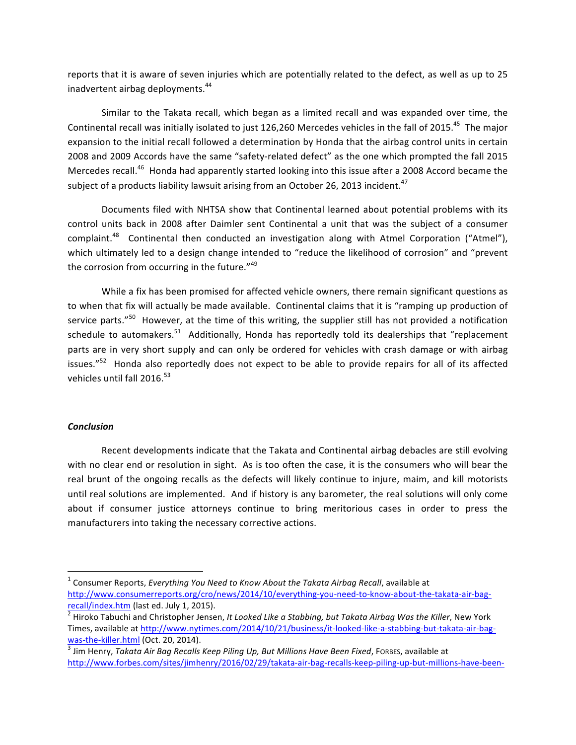reports that it is aware of seven injuries which are potentially related to the defect, as well as up to 25 inadvertent airbag deployments.<sup>44</sup>

Similar to the Takata recall, which began as a limited recall and was expanded over time, the Continental recall was initially isolated to just 126,260 Mercedes vehicles in the fall of 2015.<sup>45</sup> The major expansion to the initial recall followed a determination by Honda that the airbag control units in certain 2008 and 2009 Accords have the same "safety-related defect" as the one which prompted the fall 2015 Mercedes recall.<sup>46</sup> Honda had apparently started looking into this issue after a 2008 Accord became the subject of a products liability lawsuit arising from an October 26, 2013 incident. $^{47}$ 

Documents filed with NHTSA show that Continental learned about potential problems with its control units back in 2008 after Daimler sent Continental a unit that was the subject of a consumer complaint.<sup>48</sup> Continental then conducted an investigation along with Atmel Corporation ("Atmel"), which ultimately led to a design change intended to "reduce the likelihood of corrosion" and "prevent the corrosion from occurring in the future." $49$ 

While a fix has been promised for affected vehicle owners, there remain significant questions as to when that fix will actually be made available. Continental claims that it is "ramping up production of service parts."<sup>50</sup> However, at the time of this writing, the supplier still has not provided a notification schedule to automakers.<sup>51</sup> Additionally, Honda has reportedly told its dealerships that "replacement parts are in very short supply and can only be ordered for vehicles with crash damage or with airbag issues." $52$  Honda also reportedly does not expect to be able to provide repairs for all of its affected vehicles until fall 2016.<sup>53</sup>

# *Conclusion*

<u> 1989 - Johann Barn, mars ann an t-Amhain an t-Amhain an t-Amhain an t-Amhain an t-Amhain an t-Amhain an t-Amh</u>

Recent developments indicate that the Takata and Continental airbag debacles are still evolving with no clear end or resolution in sight. As is too often the case, it is the consumers who will bear the real brunt of the ongoing recalls as the defects will likely continue to injure, maim, and kill motorists until real solutions are implemented. And if history is any barometer, the real solutions will only come about if consumer justice attorneys continue to bring meritorious cases in order to press the manufacturers into taking the necessary corrective actions.

<sup>&</sup>lt;sup>1</sup> Consumer Reports, *Everything You Need to Know About the Takata Airbag Recall*, available at http://www.consumerreports.org/cro/news/2014/10/everything-you-need-to-know-about-the-takata-air-bag-

recall/index.htm (last ed. July 1, 2015).<br><sup>2</sup> Hiroko Tabuchi and Christopher Jensen, *It Looked Like a Stabbing, but Takata Airbag Was the Killer*, New York Times, available at http://www.nytimes.com/2014/10/21/business/it-looked-like-a-stabbing-but-takata-air-bag-

<sup>&</sup>lt;mark>was-the-killer.html</mark> (Oct. 20, 2014).<br><sup>3</sup> Jim Henry, *Takata Air Bag Recalls Keep Piling Up, But Millions Have Been Fixed,* Forees, available at http://www.forbes.com/sites/jimhenry/2016/02/29/takata-air-bag-recalls-keep-piling-up-but-millions-have-been-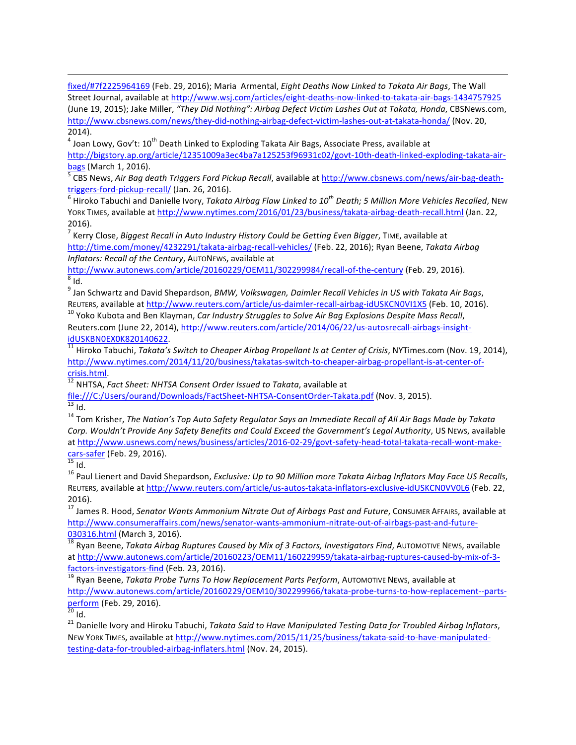fixed/#7f2225964169 (Feb. 29, 2016); Maria Armental, *Eight Deaths Now Linked to Takata Air Bags*, The Wall Street Journal, available at http://www.wsj.com/articles/eight-deaths-now-linked-to-takata-air-bags-1434757925 (June 19, 2015); Jake Miller, "They Did Nothing": Airbag Defect Victim Lashes Out at Takata, Honda, CBSNews.com, http://www.cbsnews.com/news/they-did-nothing-airbag-defect-victim-lashes-out-at-takata-honda/ (Nov. 20, 2014).

 $^4$  Joan Lowy, Gov't:  $10^{\text{th}}$  Death Linked to Exploding Takata Air Bags, Associate Press, available at http://bigstory.ap.org/article/12351009a3ec4ba7a125253f96931c02/govt-10th-death-linked-exploding-takata-airbags (March 1, 2016).<br><sup>5</sup> CBS News, *Air Bag death Triggers Ford Pickup Recall*, available at http://www.cbsnews.com/news/air-bag-death-

triggers-ford-pickup-recall/ (Jan. 26, 2016).<br><sup>6</sup> Hiroko Tabuchi and Danielle Ivory, *Takata Airbag Flaw Linked to 10<sup>th</sup> Death; 5 Million More Vehicles Recalled, NEW* 

YORK TIMES, available at http://www.nytimes.com/2016/01/23/business/takata-airbag-death-recall.html (Jan. 22, 2016). 

<sup>7</sup> Kerry Close, *Biggest Recall in Auto Industry History Could be Getting Even Bigger*, TIME, available at http://time.com/money/4232291/takata-airbag-recall-vehicles/ (Feb. 22, 2016); Ryan Beene, *Takata Airbag* Inflators: Recall of the Century, AUTONEWS, available at

http://www.autonews.com/article/20160229/OEM11/302299984/recall-of-the-century (Feb. 29, 2016).<br><sup>8</sup> Id

<sup>9</sup> Jan Schwartz and David Shepardson, *BMW, Volkswagen, Daimler Recall Vehicles in US with Takata Air Bags,* REUTERS, available at http://www.reuters.com/article/us-daimler-recall-airbag-idUSKCN0VI1X5 (Feb. 10, 2016).<br><sup>10</sup> Yoko Kubota and Ben Klayman, *Car Industry Struggles to Solve Air Bag Explosions Despite Mass Recall*,

Reuters.com (June 22, 2014), http://www.reuters.com/article/2014/06/22/us-autosrecall-airbags-insight-

idUSKBN0EX0K820140622.<br><sup>11</sup> Hiroko Tabuchi, *Takata's Switch to Cheaper Airbag Propellant Is at Center of Crisis,* NYTimes.com (Nov. 19, 2014), http://www.nytimes.com/2014/11/20/business/takatas-switch-to-cheaper-airbag-propellant-is-at-center-of-

<sup>12</sup> NHTSA, *Fact Sheet: NHTSA Consent Order Issued to Takata*, available at

file:///C:/Users/ourand/Downloads/FactSheet-NHTSA-ConsentOrder-Takata.pdf (Nov. 3, 2015).<br><sup>13</sup> Id.<br><sup>14</sup> Tom Krisher, *The Nation's Top Auto Safety Regulator Says an Immediate Recall of All Air Bags Made by Takata* 

Corp. Wouldn't Provide Any Safety Benefits and Could Exceed the Government's Legal Authority, US NEWS, available at http://www.usnews.com/news/business/articles/2016-02-29/govt-safety-head-total-takata-recall-wont-makecars-safer (Feb. 29, 2016).<br><sup>15</sup> Id.<br><sup>16</sup> Paul Lienert and David Shepardson, *Exclusive: Up to 90 Million more Takata Airbag Inflators May Face US Recalls*,

REUTERS, available at http://www.reuters.com/article/us-autos-takata-inflators-exclusive-idUSKCN0VV0L6 (Feb. 22, 2016). 

<sup>17</sup> James R. Hood, *Senator Wants Ammonium Nitrate Out of Airbags Past and Future*, Consumer AFFAIRS, available at http://www.consumeraffairs.com/news/senator-wants-ammonium-nitrate-out-of-airbags-past-and-future-

030316.html (March 3, 2016).<br><sup>18</sup> Ryan Beene, *Takata Airbag Ruptures Caused by Mix of 3 Factors, Investigators Find, AUTOMOTIVE NEWS, available* at http://www.autonews.com/article/20160223/OEM11/160229959/takata-airbag-ruptures-caused-by-mix-of-3-

factors-investigators-find (Feb. 23, 2016).<br><sup>19</sup> Ryan Beene, *Takata Probe Turns To How Replacement Parts Perform*, AUTOMOTIVE NEWS, available at http://www.autonews.com/article/20160229/OEM10/302299966/takata-probe-turns-to-how-replacement--parts-<br>perform (Feb. 29, 2016).<br><sup>20</sup> Id.

<sup>21</sup> Danielle Ivory and Hiroku Tabuchi, *Takata Said to Have Manipulated Testing Data for Troubled Airbag Inflators*, NEW YORK TIMES, available at http://www.nytimes.com/2015/11/25/business/takata-said-to-have-manipulatedtesting-data-for-troubled-airbag-inflaters.html (Nov. 24, 2015).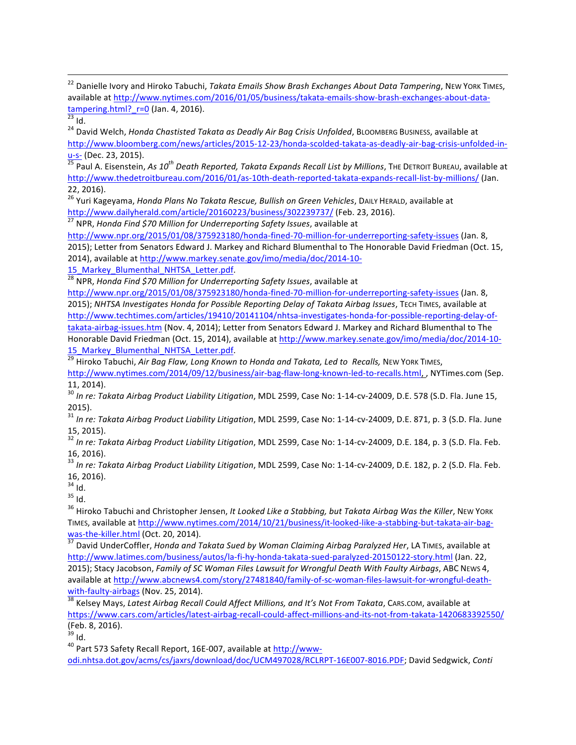<sup>22</sup> Danielle Ivory and Hiroko Tabuchi, *Takata Emails Show Brash Exchanges About Data Tampering*, NEW YORK TIMES, available at http://www.nytimes.com/2016/01/05/business/takata-emails-show-brash-exchanges-about-data-<br>  $\frac{\text{tampering.html?}_r=0}{}$  (Jan. 4, 2016).<br>
<sup>23</sup> Id.

 

<sup>24</sup> David Welch, *Honda Chastisted Takata as Deadly Air Bag Crisis Unfolded*, BLOOMBERG BUSINESS, available at http://www.bloomberg.com/news/articles/2015-12-23/honda-scolded-takata-as-deadly-air-bag-crisis-unfolded-inu-s- (Dec. 23, 2015).<br><sup>25</sup> Paul A. Eisenstein, *As 10<sup>th</sup> Death Reported, Takata Expands Recall List by Millions, The Detroit Bureau, available at* 

http://www.thedetroitbureau.com/2016/01/as-10th-death-reported-takata-expands-recall-list-by-millions/ (Jan. 22, 2016). 

<sup>26</sup> Yuri Kageyama, *Honda Plans No Takata Rescue, Bullish on Green Vehicles*, DAILY HERALD, available at http://www.dailyherald.com/article/20160223/business/302239737/ (Feb. 23, 2016).

<sup>27</sup> NPR, Honda Find \$70 Million for Underreporting Safety Issues, available at

http://www.npr.org/2015/01/08/375923180/honda-fined-70-million-for-underreporting-safety-issues (Jan. 8,

2015); Letter from Senators Edward J. Markey and Richard Blumenthal to The Honorable David Friedman (Oct. 15,

2014), available at http://www.markey.senate.gov/imo/media/doc/2014-10-

15\_Markey\_Blumenthal\_NHTSA\_Letter.pdf.<br><sup>28</sup> NPR, *Honda Find \$70 Million for Underreporting Safety Issues*, available at

http://www.npr.org/2015/01/08/375923180/honda-fined-70-million-for-underreporting-safety-issues (Jan. 8, 2015); *NHTSA Investigates Honda for Possible Reporting Delay of Takata Airbag Issues*, TECH TIMES, available at http://www.techtimes.com/articles/19410/20141104/nhtsa-investigates-honda-for-possible-reporting-delay-oftakata-airbag-issues.htm (Nov. 4, 2014); Letter from Senators Edward J. Markey and Richard Blumenthal to The Honorable David Friedman (Oct. 15, 2014), available at http://www.markey.senate.gov/imo/media/doc/2014-10-

15 Markey Blumenthal NHTSA Letter.pdf.<br><sup>29</sup> Hiroko Tabuchi, *Air Bag Flaw, Long Known to Honda and Takata, Led to Recalls,* NEW YORK TIMES,

http://www.nytimes.com/2014/09/12/business/air-bag-flaw-long-known-led-to-recalls.html, , NYTimes.com (Sep. 11, 2014). 

<sup>30</sup> In re: Takata Airbag Product Liability Litigation, MDL 2599, Case No: 1-14-cv-24009, D.E. 578 (S.D. Fla. June 15, 2015).<br><sup>31</sup> In re: Takata Airbag Product Liability Litigation, MDL 2599, Case No: 1-14-cv-24009, D.E. 871, p. 3 (S.D. Fla. June

15, 2015). 

<sup>32</sup> In re: Takata Airbag Product Liability Litigation, MDL 2599, Case No: 1-14-cv-24009, D.E. 184, p. 3 (S.D. Fla. Feb. 16, 2016). 

<sup>33</sup> In re: Takata Airbag Product Liability Litigation, MDL 2599, Case No: 1-14-cv-24009, D.E. 182, p. 2 (S.D. Fla. Feb.  $16, 2016$ ).<br> $34$  Id.

<sup>35</sup> Id.<br><sup>36</sup> Hiroko Tabuchi and Christopher Jensen, *It Looked Like a Stabbing, but Takata Airbag Was the Killer*, New York TIMES, available at http://www.nytimes.com/2014/10/21/business/it-looked-like-a-stabbing-but-takata-air-bag-<br>was-the-killer.html (Oct. 20, 2014).

37 David UnderCoffler, *Honda and Takata Sued by Woman Claiming Airbag Paralyzed Her*, LA TIMES, available at http://www.latimes.com/business/autos/la-fi-hy-honda-takata-sued-paralyzed-20150122-story.html (Jan. 22, 2015); Stacy Jacobson, *Family of SC Woman Files Lawsuit for Wrongful Death With Faulty Airbags*, ABC NEws 4, available at http://www.abcnews4.com/story/27481840/family-of-sc-woman-files-lawsuit-for-wrongful-deathwith-faulty-airbags (Nov. 25, 2014).<br><sup>38</sup> Kelsey Mays, *Latest Airbag Recall Could Affect Millions, and It's Not From Takata*, CARS.com, available at

https://www.cars.com/articles/latest-airbag-recall-could-affect-millions-and-its-not-from-takata-1420683392550/ (Feb. 8, 2016).<br><sup>39</sup> Id.

<sup>40</sup> Part 573 Safety Recall Report, 16E-007, available at http://wwwodi.nhtsa.dot.gov/acms/cs/jaxrs/download/doc/UCM497028/RCLRPT-16E007-8016.PDF; David Sedgwick, *Conti*